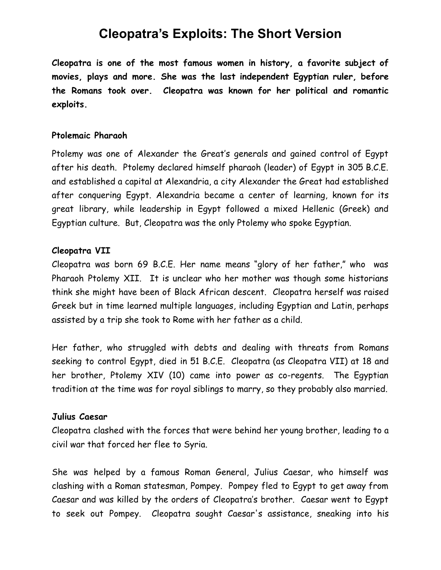# **Cleopatra's Exploits: The Short Version**

**Cleopatra is one of the most famous women in history, a favorite subject of movies, plays and more. She was the last independent Egyptian ruler, before the Romans took over. Cleopatra was known for her political and romantic exploits.**

## **Ptolemaic Pharaoh**

Ptolemy was one of Alexander the Great's generals and gained control of Egypt after his death. Ptolemy declared himself pharaoh (leader) of Egypt in 305 B.C.E. and established a capital at Alexandria, a city Alexander the Great had established after conquering Egypt. Alexandria became a center of learning, known for its great library, while leadership in Egypt followed a mixed Hellenic (Greek) and Egyptian culture. But, Cleopatra was the only Ptolemy who spoke Egyptian.

#### **Cleopatra VII**

Cleopatra was born 69 B.C.E. Her name means "glory of her father," who was Pharaoh Ptolemy XII. It is unclear who her mother was though some historians think she might have been of Black African descent. Cleopatra herself was raised Greek but in time learned multiple languages, including Egyptian and Latin, perhaps assisted by a trip she took to Rome with her father as a child.

Her father, who struggled with debts and dealing with threats from Romans seeking to control Egypt, died in 51 B.C.E. Cleopatra (as Cleopatra VII) at 18 and her brother, Ptolemy XIV (10) came into power as co-regents. The Egyptian tradition at the time was for royal siblings to marry, so they probably also married.

#### **Julius Caesar**

Cleopatra clashed with the forces that were behind her young brother, leading to a civil war that forced her flee to Syria.

She was helped by a famous Roman General, Julius Caesar, who himself was clashing with a Roman statesman, Pompey. Pompey fled to Egypt to get away from Caesar and was killed by the orders of Cleopatra's brother. Caesar went to Egypt to seek out Pompey. Cleopatra sought Caesar's assistance, sneaking into his